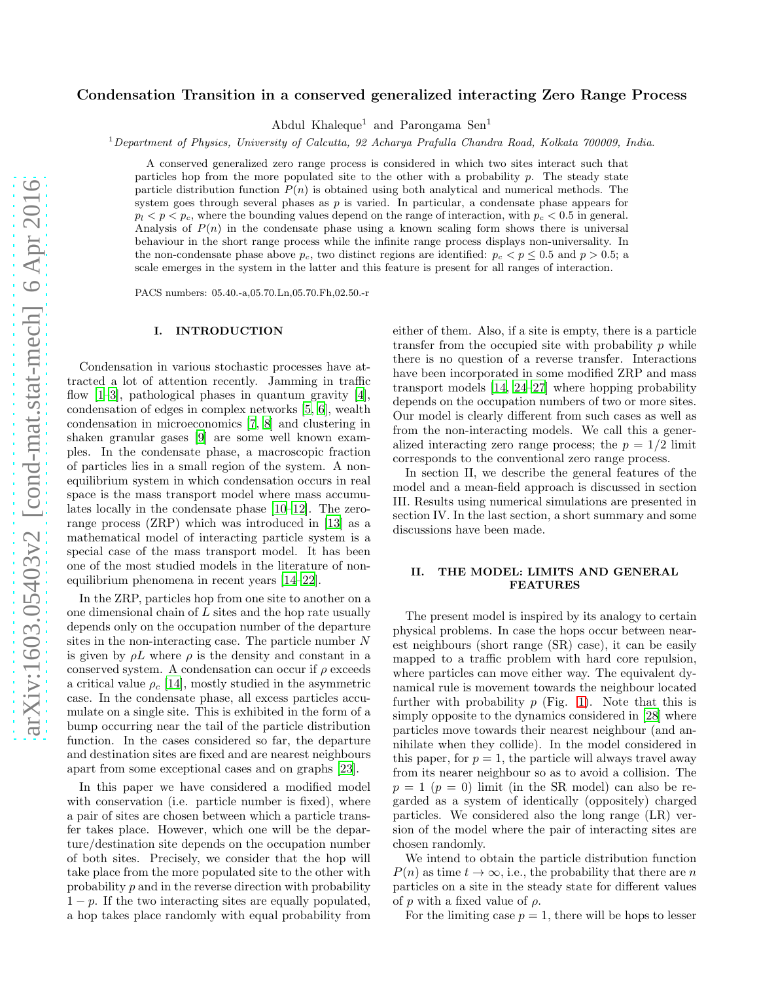# Condensation Transition in a conserved generalized interacting Zero Range Process

Abdul Khaleque<sup>1</sup> and Parongama Sen<sup>1</sup>

<sup>1</sup>Department of Physics, University of Calcutta, 92 Acharya Prafulla Chandra Road, Kolkata 700009, India.

A conserved generalized zero range process is considered in which two sites interact such that particles hop from the more populated site to the other with a probability  $p$ . The steady state particle distribution function  $P(n)$  is obtained using both analytical and numerical methods. The system goes through several phases as  $p$  is varied. In particular, a condensate phase appears for  $p_l < p < p_c$ , where the bounding values depend on the range of interaction, with  $p_c < 0.5$  in general. Analysis of  $P(n)$  in the condensate phase using a known scaling form shows there is universal behaviour in the short range process while the infinite range process displays non-universality. In the non-condensate phase above  $p_c$ , two distinct regions are identified:  $p_c < p \le 0.5$  and  $p > 0.5$ ; a scale emerges in the system in the latter and this feature is present for all ranges of interaction.

PACS numbers: 05.40.-a,05.70.Ln,05.70.Fh,02.50.-r

#### I. INTRODUCTION

Condensation in various stochastic processes have attracted a lot of attention recently. Jamming in traffic flow  $[1-3]$ , pathological phases in quantum gravity  $[4]$ , condensation of edges in complex networks [\[5,](#page-7-3) [6\]](#page-7-4), wealth condensation in microeconomics [\[7,](#page-7-5) [8](#page-7-6)] and clustering in shaken granular gases [\[9\]](#page-7-7) are some well known examples. In the condensate phase, a macroscopic fraction of particles lies in a small region of the system. A nonequilibrium system in which condensation occurs in real space is the mass transport model where mass accumulates locally in the condensate phase [\[10](#page-7-8)[–12](#page-7-9)]. The zerorange process (ZRP) which was introduced in [\[13](#page-7-10)] as a mathematical model of interacting particle system is a special case of the mass transport model. It has been one of the most studied models in the literature of nonequilibrium phenomena in recent years [\[14](#page-7-11)[–22\]](#page-7-12).

In the ZRP, particles hop from one site to another on a one dimensional chain of L sites and the hop rate usually depends only on the occupation number of the departure sites in the non-interacting case. The particle number N is given by  $\rho L$  where  $\rho$  is the density and constant in a conserved system. A condensation can occur if  $\rho$  exceeds a critical value  $\rho_c$  [\[14](#page-7-11)], mostly studied in the asymmetric case. In the condensate phase, all excess particles accumulate on a single site. This is exhibited in the form of a bump occurring near the tail of the particle distribution function. In the cases considered so far, the departure and destination sites are fixed and are nearest neighbours apart from some exceptional cases and on graphs [\[23\]](#page-7-13).

In this paper we have considered a modified model with conservation (i.e. particle number is fixed), where a pair of sites are chosen between which a particle transfer takes place. However, which one will be the departure/destination site depends on the occupation number of both sites. Precisely, we consider that the hop will take place from the more populated site to the other with probability p and in the reverse direction with probability  $1 - p$ . If the two interacting sites are equally populated, a hop takes place randomly with equal probability from

either of them. Also, if a site is empty, there is a particle transfer from the occupied site with probability  $p$  while there is no question of a reverse transfer. Interactions have been incorporated in some modified ZRP and mass transport models [\[14](#page-7-11), [24](#page-7-14)[–27\]](#page-7-15) where hopping probability depends on the occupation numbers of two or more sites. Our model is clearly different from such cases as well as from the non-interacting models. We call this a generalized interacting zero range process; the  $p = 1/2$  limit corresponds to the conventional zero range process.

In section II, we describe the general features of the model and a mean-field approach is discussed in section III. Results using numerical simulations are presented in section IV. In the last section, a short summary and some discussions have been made.

# II. THE MODEL: LIMITS AND GENERAL FEATURES

The present model is inspired by its analogy to certain physical problems. In case the hops occur between nearest neighbours (short range (SR) case), it can be easily mapped to a traffic problem with hard core repulsion, where particles can move either way. The equivalent dynamical rule is movement towards the neighbour located further with probability  $p$  (Fig. [1\)](#page-1-0). Note that this is simply opposite to the dynamics considered in [\[28](#page-7-16)] where particles move towards their nearest neighbour (and annihilate when they collide). In the model considered in this paper, for  $p = 1$ , the particle will always travel away from its nearer neighbour so as to avoid a collision. The  $p = 1$  ( $p = 0$ ) limit (in the SR model) can also be regarded as a system of identically (oppositely) charged particles. We considered also the long range (LR) version of the model where the pair of interacting sites are chosen randomly.

We intend to obtain the particle distribution function  $P(n)$  as time  $t \to \infty$ , i.e., the probability that there are n particles on a site in the steady state for different values of p with a fixed value of  $\rho$ .

For the limiting case  $p = 1$ , there will be hops to lesser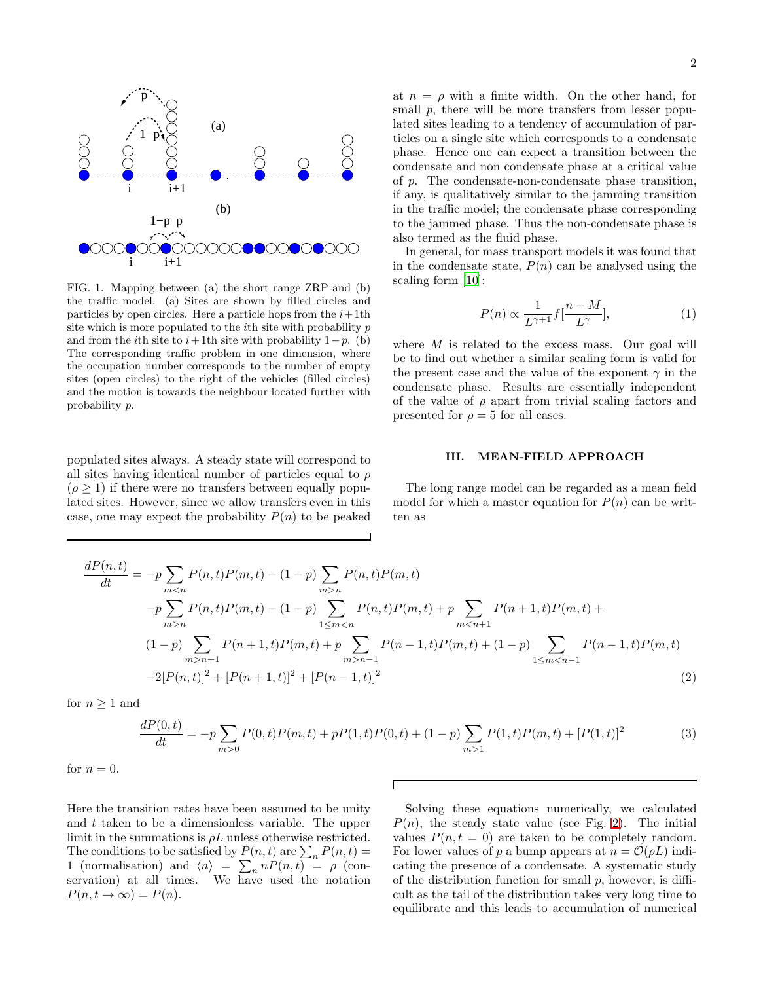

<span id="page-1-0"></span>FIG. 1. Mapping between (a) the short range ZRP and (b) the traffic model. (a) Sites are shown by filled circles and particles by open circles. Here a particle hops from the  $i+1$ th site which is more populated to the *i*th site with probability  $p$ and from the *i*th site to  $i+1$ th site with probability  $1-p$ . (b) The corresponding traffic problem in one dimension, where the occupation number corresponds to the number of empty sites (open circles) to the right of the vehicles (filled circles) and the motion is towards the neighbour located further with probability p.

populated sites always. A steady state will correspond to all sites having identical number of particles equal to  $\rho$  $(\rho > 1)$  if there were no transfers between equally populated sites. However, since we allow transfers even in this case, one may expect the probability  $P(n)$  to be peaked

at  $n = \rho$  with a finite width. On the other hand, for small p, there will be more transfers from lesser populated sites leading to a tendency of accumulation of particles on a single site which corresponds to a condensate phase. Hence one can expect a transition between the condensate and non condensate phase at a critical value of p. The condensate-non-condensate phase transition, if any, is qualitatively similar to the jamming transition in the traffic model; the condensate phase corresponding to the jammed phase. Thus the non-condensate phase is also termed as the fluid phase.

In general, for mass transport models it was found that in the condensate state,  $P(n)$  can be analysed using the scaling form [\[10](#page-7-8)]:

<span id="page-1-1"></span>
$$
P(n) \propto \frac{1}{L^{\gamma+1}} f\left[\frac{n-M}{L^{\gamma}}\right],\tag{1}
$$

where  $M$  is related to the excess mass. Our goal will be to find out whether a similar scaling form is valid for the present case and the value of the exponent  $\gamma$  in the condensate phase. Results are essentially independent of the value of  $\rho$  apart from trivial scaling factors and presented for  $\rho = 5$  for all cases.

# III. MEAN-FIELD APPROACH

The long range model can be regarded as a mean field model for which a master equation for  $P(n)$  can be written as

$$
\frac{dP(n,t)}{dt} = -p \sum_{m < n} P(n,t)P(m,t) - (1-p) \sum_{m > n} P(n,t)P(m,t) \n-p \sum_{m > n} P(n,t)P(m,t) - (1-p) \sum_{1 \le m < n} P(n,t)P(m,t) + p \sum_{m < n+1} P(n+1,t)P(m,t) + (1-p) \sum_{m > n+1} P(n+1,t)P(m,t) + p \sum_{m > n-1} P(n-1,t)P(m,t) + (1-p) \sum_{1 \le m < n-1} P(n-1,t)P(m,t) \n-2[P(n,t)]^2 + [P(n+1,t)]^2 + [P(n-1,t)]^2 \tag{2}
$$

for  $n \geq 1$  and

$$
\frac{dP(0,t)}{dt} = -p \sum_{m>0} P(0,t)P(m,t) + pP(1,t)P(0,t) + (1-p) \sum_{m>1} P(1,t)P(m,t) + [P(1,t)]^2
$$
(3)

 $\overline{\Gamma}$ 

for 
$$
n = 0
$$
.

Here the transition rates have been assumed to be unity and t taken to be a dimensionless variable. The upper limit in the summations is  $\rho L$  unless otherwise restricted. The conditions to be satisfied by  $P(n, t)$  are  $\sum_{n} P(n, t) =$ 1 (normalisation) and  $\langle n \rangle = \sum_{n} n P(n, t) = \rho$  (conservation) at all times. We have used the notation  $P(n, t \rightarrow \infty) = P(n).$ 

Solving these equations numerically, we calculated  $P(n)$ , the steady state value (see Fig. [2\)](#page-2-0). The initial values  $P(n, t = 0)$  are taken to be completely random. For lower values of p a bump appears at  $n = \mathcal{O}(\rho L)$  indicating the presence of a condensate. A systematic study of the distribution function for small  $p$ , however, is difficult as the tail of the distribution takes very long time to equilibrate and this leads to accumulation of numerical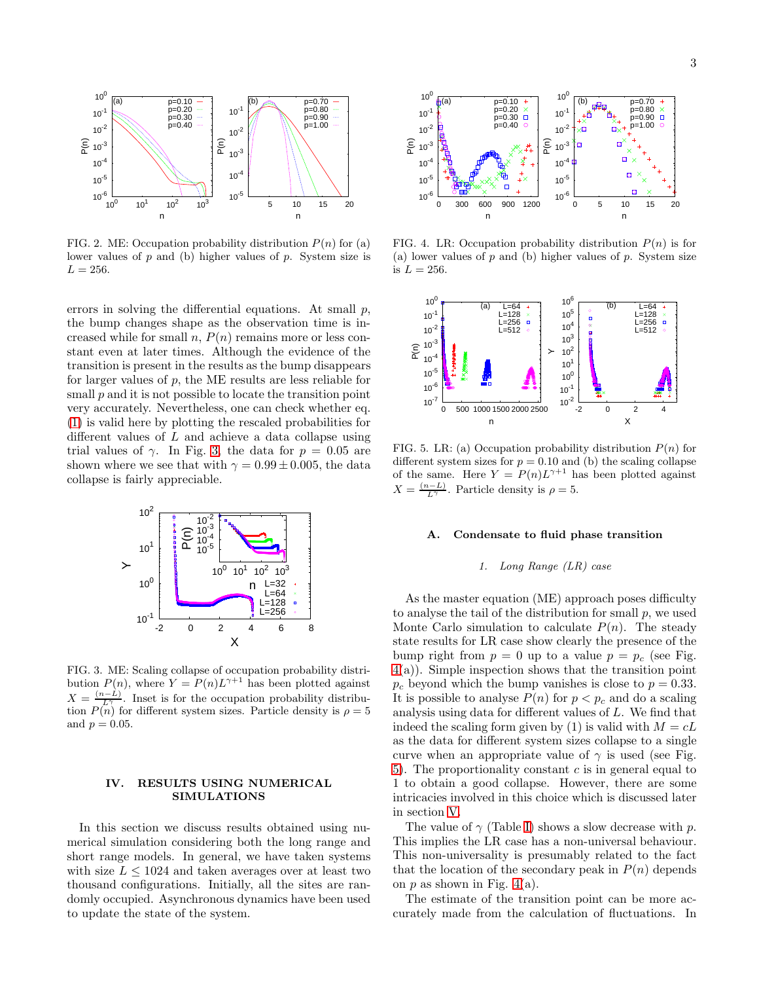

<span id="page-2-0"></span>FIG. 2. ME: Occupation probability distribution  $P(n)$  for (a) lower values of  $p$  and (b) higher values of  $p$ . System size is  $L = 256$ .

errors in solving the differential equations. At small  $p$ , the bump changes shape as the observation time is increased while for small  $n, P(n)$  remains more or less constant even at later times. Although the evidence of the transition is present in the results as the bump disappears for larger values of  $p$ , the ME results are less reliable for small  $p$  and it is not possible to locate the transition point very accurately. Nevertheless, one can check whether eq. [\(1\)](#page-1-1) is valid here by plotting the rescaled probabilities for different values of  $L$  and achieve a data collapse using trial values of  $\gamma$ . In Fig. [3,](#page-2-1) the data for  $p = 0.05$  are shown where we see that with  $\gamma = 0.99 \pm 0.005$ , the data collapse is fairly appreciable.



<span id="page-2-1"></span>FIG. 3. ME: Scaling collapse of occupation probability distribution  $P(n)$ , where  $Y = P(n)L^{\gamma+1}$  has been plotted against  $X = \frac{(n-L)}{L^{\gamma}}$ . Inset is for the occupation probability distribution  $P(n)$  for different system sizes. Particle density is  $\rho = 5$ and  $p = 0.05$ .

## <span id="page-2-4"></span>IV. RESULTS USING NUMERICAL SIMULATIONS

In this section we discuss results obtained using numerical simulation considering both the long range and short range models. In general, we have taken systems with size  $L \leq 1024$  and taken averages over at least two thousand configurations. Initially, all the sites are randomly occupied. Asynchronous dynamics have been used to update the state of the system.



<span id="page-2-2"></span>FIG. 4. LR: Occupation probability distribution  $P(n)$  is for (a) lower values of  $p$  and (b) higher values of  $p$ . System size is  $L = 256$ .



<span id="page-2-3"></span>FIG. 5. LR: (a) Occupation probability distribution  $P(n)$  for different system sizes for  $p = 0.10$  and (b) the scaling collapse of the same. Here  $Y = P(n)L^{\gamma+1}$  has been plotted against  $X = \frac{(n-L)}{L^{\gamma}}$ . Particle density is  $\rho = 5$ .

#### A. Condensate to fluid phase transition

# 1. Long Range (LR) case

As the master equation (ME) approach poses difficulty to analyse the tail of the distribution for small  $p$ , we used Monte Carlo simulation to calculate  $P(n)$ . The steady state results for LR case show clearly the presence of the bump right from  $p = 0$  up to a value  $p = p_c$  (see Fig. [4\(](#page-2-2)a)). Simple inspection shows that the transition point  $p_c$  beyond which the bump vanishes is close to  $p = 0.33$ . It is possible to analyse  $P(n)$  for  $p < p_c$  and do a scaling analysis using data for different values of L. We find that indeed the scaling form given by (1) is valid with  $M = cL$ as the data for different system sizes collapse to a single curve when an appropriate value of  $\gamma$  is used (see Fig. [5\)](#page-2-3). The proportionality constant  $c$  is in general equal to 1 to obtain a good collapse. However, there are some intricacies involved in this choice which is discussed later in section [V.](#page-6-0)

The value of  $\gamma$  (Table [I\)](#page-3-0) shows a slow decrease with p. This implies the LR case has a non-universal behaviour. This non-universality is presumably related to the fact that the location of the secondary peak in  $P(n)$  depends on  $p$  as shown in Fig. [4\(](#page-2-2)a).

The estimate of the transition point can be more accurately made from the calculation of fluctuations. In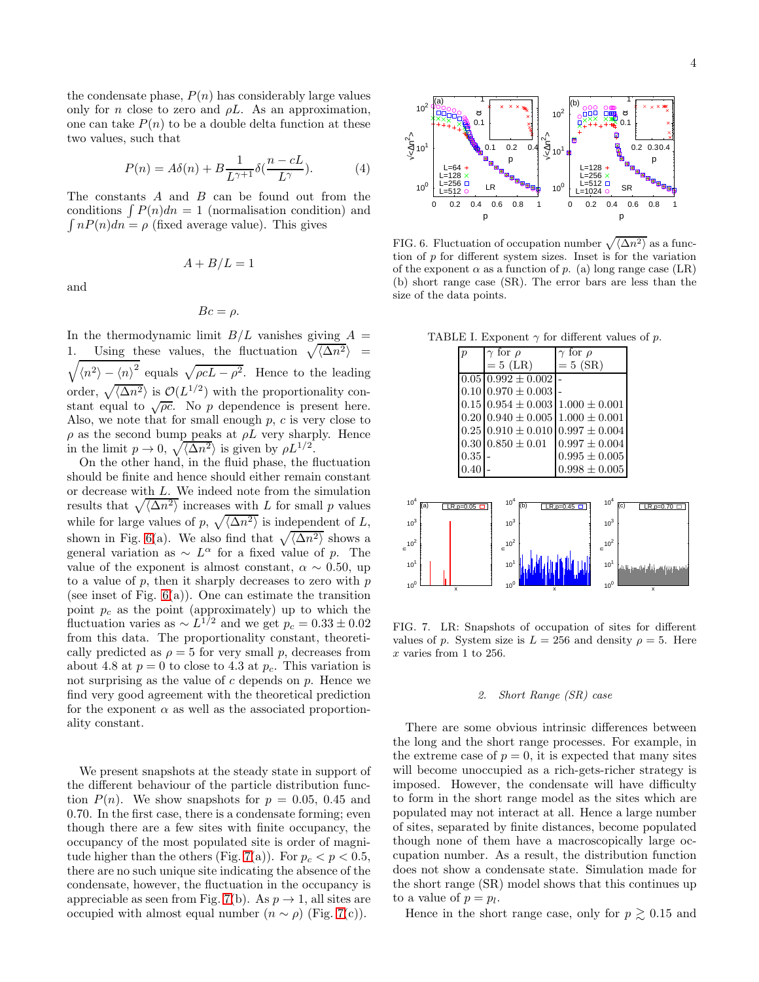the condensate phase,  $P(n)$  has considerably large values only for *n* close to zero and  $\rho L$ . As an approximation, one can take  $P(n)$  to be a double delta function at these two values, such that

$$
P(n) = A\delta(n) + B \frac{1}{L^{\gamma+1}} \delta(\frac{n - cL}{L^{\gamma}}). \tag{4}
$$

The constants A and B can be found out from the conditions  $\int P(n)dn = 1$  (normalisation condition) and  $\int nP(n)dn = \rho$  (fixed average value). This gives

 $A + B/L = 1$ 

and

$$
Bc = \rho.
$$

In the thermodynamic limit  $B/L$  vanishes giving  $A =$ 1. Using these values, the fluctuation  $\sqrt{\langle \Delta n^2 \rangle}$  =  $\sqrt{\langle n^2 \rangle - \langle n \rangle^2}$  equals  $\sqrt{\rho c L - \rho^2}$ . Hence to the leading order,  $\sqrt{\langle \Delta n^2 \rangle}$  is  $\mathcal{O}(L^{1/2})$  with the proportionality constant equal to  $\sqrt{\rho c}$ . No *p* dependence is present here. Also, we note that for small enough  $p$ ,  $c$  is very close to  $\rho$  as the second bump peaks at  $\rho L$  very sharply. Hence in the limit  $p \to 0$ ,  $\sqrt{\langle \Delta n^2 \rangle}$  is given by  $\rho L^{1/2}$ .

On the other hand, in the fluid phase, the fluctuation should be finite and hence should either remain constant or decrease with L. We indeed note from the simulation results that  $\sqrt{\langle \Delta n^2 \rangle}$  increases with L for small p values while for large values of p,  $\sqrt{\langle \Delta n^2 \rangle}$  is independent of L, shown in Fig. [6\(](#page-3-1)a). We also find that  $\sqrt{\langle \Delta n^2 \rangle}$  shows a general variation as  $\sim L^{\alpha}$  for a fixed value of p. The value of the exponent is almost constant,  $\alpha \sim 0.50$ , up to a value of  $p$ , then it sharply decreases to zero with  $p$ (see inset of Fig.  $6(a)$ ). One can estimate the transition point  $p_c$  as the point (approximately) up to which the fluctuation varies as  $\sim L^{1/2}$  and we get  $p_c = 0.33 \pm 0.02$ from this data. The proportionality constant, theoretically predicted as  $\rho = 5$  for very small p, decreases from about 4.8 at  $p = 0$  to close to 4.3 at  $p_c$ . This variation is not surprising as the value of  $c$  depends on  $p$ . Hence we find very good agreement with the theoretical prediction for the exponent  $\alpha$  as well as the associated proportionality constant.

We present snapshots at the steady state in support of the different behaviour of the particle distribution function  $P(n)$ . We show snapshots for  $p = 0.05, 0.45$  and 0.70. In the first case, there is a condensate forming; even though there are a few sites with finite occupancy, the occupancy of the most populated site is order of magni-tude higher than the others (Fig. [7\(](#page-3-2)a)). For  $p_c < p < 0.5$ , there are no such unique site indicating the absence of the condensate, however, the fluctuation in the occupancy is appreciable as seen from Fig. [7\(](#page-3-2)b). As  $p \to 1$ , all sites are occupied with almost equal number  $(n \sim \rho)$  (Fig. [7\(](#page-3-2)c)).



<span id="page-3-1"></span>FIG. 6. Fluctuation of occupation number  $\sqrt{\langle \Delta n^2 \rangle}$  as a function of  $p$  for different system sizes. Inset is for the variation of the exponent  $\alpha$  as a function of p. (a) long range case (LR) (b) short range case (SR). The error bars are less than the size of the data points.

<span id="page-3-0"></span>TABLE I. Exponent  $\gamma$  for different values of p.

|                                | $\overline{p}$ | $\gamma$ for $\rho$    | $\gamma$ for $\rho$                    |              |
|--------------------------------|----------------|------------------------|----------------------------------------|--------------|
|                                |                | $= 5$ (LR)             | $= 5$ (SR)                             |              |
|                                | 0.05           | $0.992 \pm 0.002$      |                                        |              |
|                                | 0.10           | $0.970 \pm 0.003$      |                                        |              |
|                                | 0.15           | $0.954 \pm 0.003$      | $1.000 \pm 0.001$                      |              |
|                                | 0.20           | $0.940 \pm 0.005$      | $1.000 \pm 0.001$                      |              |
|                                | 0.25           | $0.910 \pm 0.010$      | $0.997 \pm 0.004$                      |              |
|                                | 0.30           | $0.850 \pm 0.01$       | $0.997 \pm 0.004$                      |              |
|                                | 0.35           |                        | $0.995 \pm 0.005$                      |              |
|                                | 0.40           |                        | $0.998 \pm 0.005$                      |              |
|                                |                |                        |                                        |              |
| 10 <sup>4</sup><br>(a)         | $LR.p=0.05$    | 10 <sup>4</sup><br>(b) | 10 <sup>4</sup><br>(c)<br>$LR, p=0.45$ | $LR, p=0.70$ |
| 10 <sup>3</sup>                |                | 10 <sup>3</sup>        | $10^{3}$                               |              |
| 10 <sup>2</sup>                |                | $\simeq 10^2$          | $\simeq 10^2$                          |              |
| $10^{1}$                       |                | 10 <sup>1</sup>        | 10 <sup>1</sup>                        |              |
| 10 <sup>0</sup><br>$\mathbf x$ |                | 10 <sup>0</sup><br>x   | 10 <sup>0</sup>                        | $\mathsf{x}$ |

<span id="page-3-2"></span>FIG. 7. LR: Snapshots of occupation of sites for different values of p. System size is  $L = 256$  and density  $\rho = 5$ . Here  $x$  varies from 1 to 256.

# 2. Short Range (SR) case

There are some obvious intrinsic differences between the long and the short range processes. For example, in the extreme case of  $p = 0$ , it is expected that many sites will become unoccupied as a rich-gets-richer strategy is imposed. However, the condensate will have difficulty to form in the short range model as the sites which are populated may not interact at all. Hence a large number of sites, separated by finite distances, become populated though none of them have a macroscopically large occupation number. As a result, the distribution function does not show a condensate state. Simulation made for the short range (SR) model shows that this continues up to a value of  $p = p_l$ .

Hence in the short range case, only for  $p \gtrsim 0.15$  and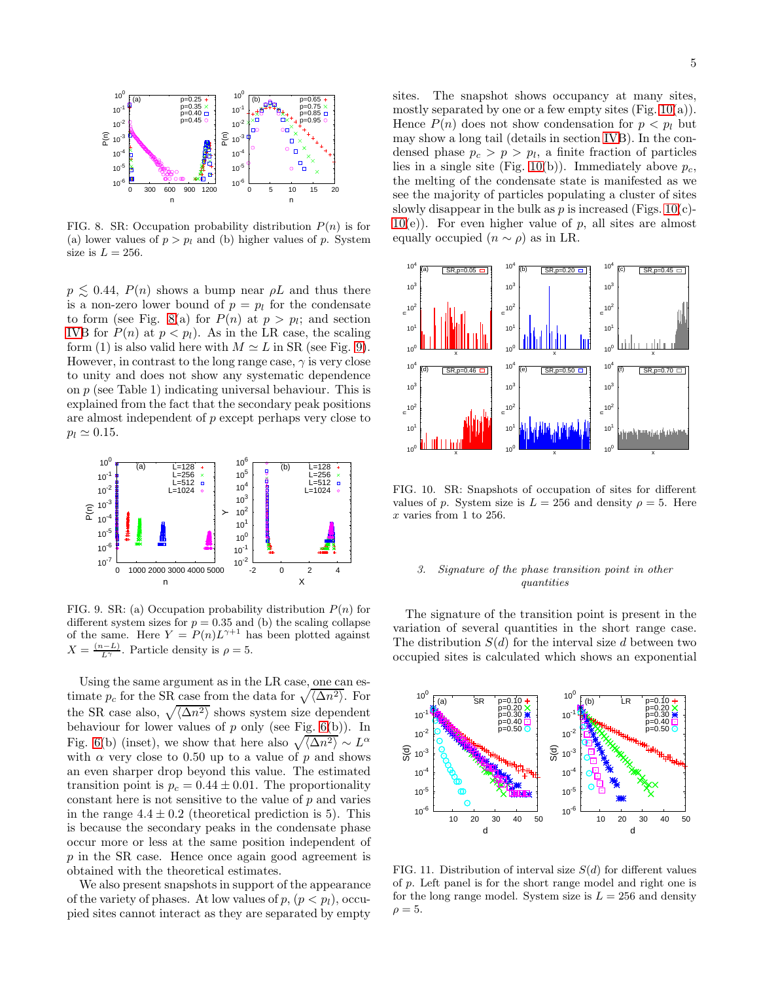

<span id="page-4-0"></span>FIG. 8. SR: Occupation probability distribution  $P(n)$  is for (a) lower values of  $p > p_l$  and (b) higher values of p. System size is  $L = 256$ .

 $p \lesssim 0.44$ ,  $P(n)$  shows a bump near  $\rho L$  and thus there is a non-zero lower bound of  $p = p_l$  for the condensate to form (see Fig. [8\(](#page-4-0)a) for  $P(n)$  at  $p > p_i$ ; and section [IVB](#page-2-4) for  $P(n)$  at  $p < p_l$ ). As in the LR case, the scaling form (1) is also valid here with  $M \simeq L$  in SR (see Fig. [9\)](#page-4-1). However, in contrast to the long range case,  $\gamma$  is very close to unity and does not show any systematic dependence on p (see Table 1) indicating universal behaviour. This is explained from the fact that the secondary peak positions are almost independent of p except perhaps very close to  $p_l \simeq 0.15$ .



<span id="page-4-1"></span>FIG. 9. SR: (a) Occupation probability distribution  $P(n)$  for different system sizes for  $p = 0.35$  and (b) the scaling collapse of the same. Here  $Y = P(n)L^{\gamma+1}$  has been plotted against  $X = \frac{(n-L)}{L^{\gamma}}$ . Particle density is  $\rho = 5$ .

Using the same argument as in the LR case, one can estimate  $p_c$  for the SR case from the data for  $\sqrt{\langle \Delta n^2 \rangle}$ . For the SR case also,  $\sqrt{\langle \Delta n^2 \rangle}$  shows system size dependent behaviour for lower values of  $p$  only (see Fig. [6\(](#page-3-1)b)). In Fig. [6\(](#page-3-1)b) (inset), we show that here also  $\sqrt{\langle \Delta n^2 \rangle} \sim L^{\alpha}$ with  $\alpha$  very close to 0.50 up to a value of p and shows an even sharper drop beyond this value. The estimated transition point is  $p_c = 0.44 \pm 0.01$ . The proportionality constant here is not sensitive to the value of  $p$  and varies in the range  $4.4 \pm 0.2$  (theoretical prediction is 5). This is because the secondary peaks in the condensate phase occur more or less at the same position independent of p in the SR case. Hence once again good agreement is obtained with the theoretical estimates.

We also present snapshots in support of the appearance of the variety of phases. At low values of  $p, (p < p_l)$ , occupied sites cannot interact as they are separated by empty

sites. The snapshot shows occupancy at many sites, mostly separated by one or a few empty sites  $(Fig. 10(a))$  $(Fig. 10(a))$  $(Fig. 10(a))$ . Hence  $P(n)$  does not show condensation for  $p < p_l$  but may show a long tail (details in section [IVB](#page-2-4)). In the condensed phase  $p_c > p > p_l$ , a finite fraction of particles lies in a single site (Fig. [10\(](#page-4-2)b)). Immediately above  $p_c$ , the melting of the condensate state is manifested as we see the majority of particles populating a cluster of sites slowly disappear in the bulk as p is increased (Figs.  $10(c)$ )- $10(e)$  $10(e)$ ). For even higher value of p, all sites are almost equally occupied  $(n \sim \rho)$  as in LR.



<span id="page-4-2"></span>FIG. 10. SR: Snapshots of occupation of sites for different values of p. System size is  $L = 256$  and density  $\rho = 5$ . Here x varies from 1 to 256.

# 3. Signature of the phase transition point in other quantities

The signature of the transition point is present in the variation of several quantities in the short range case. The distribution  $S(d)$  for the interval size d between two occupied sites is calculated which shows an exponential



<span id="page-4-3"></span>FIG. 11. Distribution of interval size  $S(d)$  for different values of p. Left panel is for the short range model and right one is for the long range model. System size is  $L = 256$  and density  $\rho = 5.$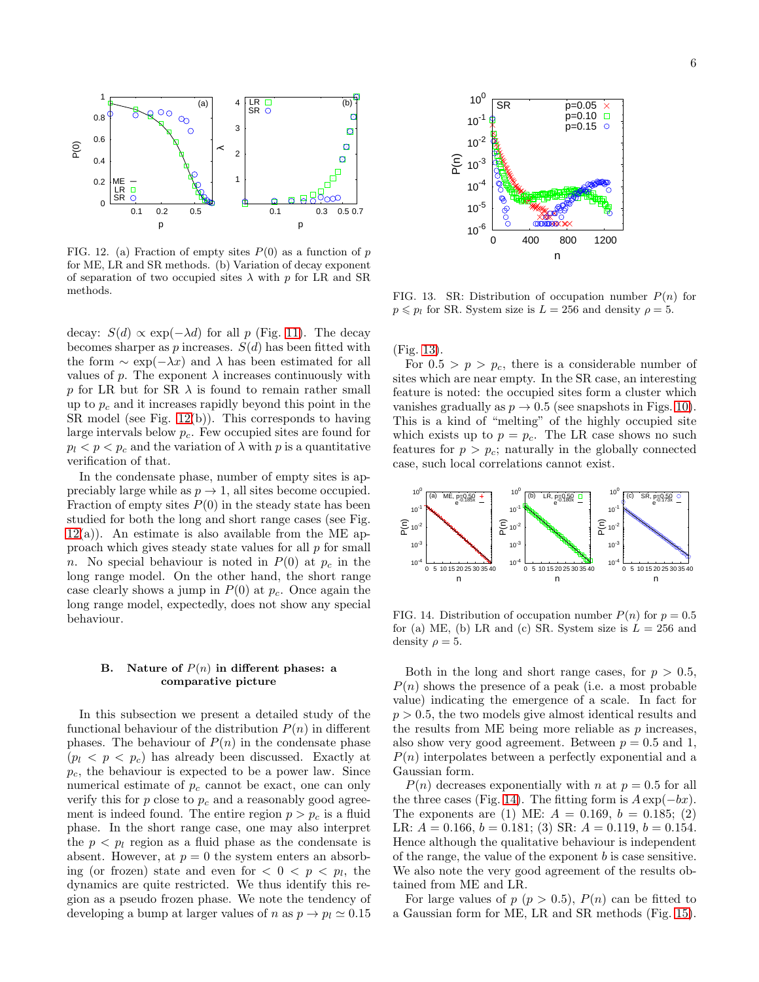

<span id="page-5-0"></span>FIG. 12. (a) Fraction of empty sites  $P(0)$  as a function of p for ME, LR and SR methods. (b) Variation of decay exponent of separation of two occupied sites  $\lambda$  with p for LR and SR methods.

decay:  $S(d) \propto \exp(-\lambda d)$  for all p (Fig. [11\)](#page-4-3). The decay becomes sharper as  $p$  increases.  $S(d)$  has been fitted with the form  $\sim \exp(-\lambda x)$  and  $\lambda$  has been estimated for all values of p. The exponent  $\lambda$  increases continuously with p for LR but for SR  $\lambda$  is found to remain rather small up to  $p_c$  and it increases rapidly beyond this point in the SR model (see Fig. [12\(](#page-5-0)b)). This corresponds to having large intervals below  $p_c$ . Few occupied sites are found for  $p_l < p_p c$  and the variation of  $\lambda$  with p is a quantitative verification of that.

In the condensate phase, number of empty sites is appreciably large while as  $p \to 1$ , all sites become occupied. Fraction of empty sites  $P(0)$  in the steady state has been studied for both the long and short range cases (see Fig.  $12(a)$  $12(a)$ ). An estimate is also available from the ME approach which gives steady state values for all  $p$  for small n. No special behaviour is noted in  $P(0)$  at  $p_c$  in the long range model. On the other hand, the short range case clearly shows a jump in  $P(0)$  at  $p_c$ . Once again the long range model, expectedly, does not show any special behaviour.

# B. Nature of  $P(n)$  in different phases: a comparative picture

In this subsection we present a detailed study of the functional behaviour of the distribution  $P(n)$  in different phases. The behaviour of  $P(n)$  in the condensate phase  $(p_l \lt p \lt p_c)$  has already been discussed. Exactly at  $p_c$ , the behaviour is expected to be a power law. Since numerical estimate of  $p_c$  cannot be exact, one can only verify this for  $p$  close to  $p_c$  and a reasonably good agreement is indeed found. The entire region  $p > p_c$  is a fluid phase. In the short range case, one may also interpret the  $p < p_l$  region as a fluid phase as the condensate is absent. However, at  $p = 0$  the system enters an absorbing (or frozen) state and even for  $< 0 < p < p<sub>l</sub>$ , the dynamics are quite restricted. We thus identify this region as a pseudo frozen phase. We note the tendency of developing a bump at larger values of n as  $p \to p_l \simeq 0.15$ 



<span id="page-5-1"></span>FIG. 13. SR: Distribution of occupation number  $P(n)$  for  $p \leq p_l$  for SR. System size is  $L = 256$  and density  $\rho = 5$ .

(Fig. [13\)](#page-5-1).

For  $0.5 > p > p_c$ , there is a considerable number of sites which are near empty. In the SR case, an interesting feature is noted: the occupied sites form a cluster which vanishes gradually as  $p \to 0.5$  (see snapshots in Figs. [10\)](#page-4-2). This is a kind of "melting" of the highly occupied site which exists up to  $p = p_c$ . The LR case shows no such features for  $p > p_c$ ; naturally in the globally connected case, such local correlations cannot exist.



<span id="page-5-2"></span>FIG. 14. Distribution of occupation number  $P(n)$  for  $p = 0.5$ for (a) ME, (b) LR and (c) SR. System size is  $L = 256$  and density  $\rho = 5$ .

Both in the long and short range cases, for  $p > 0.5$ ,  $P(n)$  shows the presence of a peak (i.e. a most probable value) indicating the emergence of a scale. In fact for  $p > 0.5$ , the two models give almost identical results and the results from  $ME$  being more reliable as  $p$  increases, also show very good agreement. Between  $p = 0.5$  and 1,  $P(n)$  interpolates between a perfectly exponential and a Gaussian form.

 $P(n)$  decreases exponentially with n at  $p = 0.5$  for all the three cases (Fig. [14\)](#page-5-2). The fitting form is  $A \exp(-bx)$ . The exponents are (1) ME:  $A = 0.169$ ,  $b = 0.185$ ; (2) LR:  $A = 0.166$ ,  $b = 0.181$ ; (3) SR:  $A = 0.119$ ,  $b = 0.154$ . Hence although the qualitative behaviour is independent of the range, the value of the exponent  $b$  is case sensitive. We also note the very good agreement of the results obtained from ME and LR.

For large values of  $p (p > 0.5)$ ,  $P(n)$  can be fitted to a Gaussian form for ME, LR and SR methods (Fig. [15\)](#page-6-1).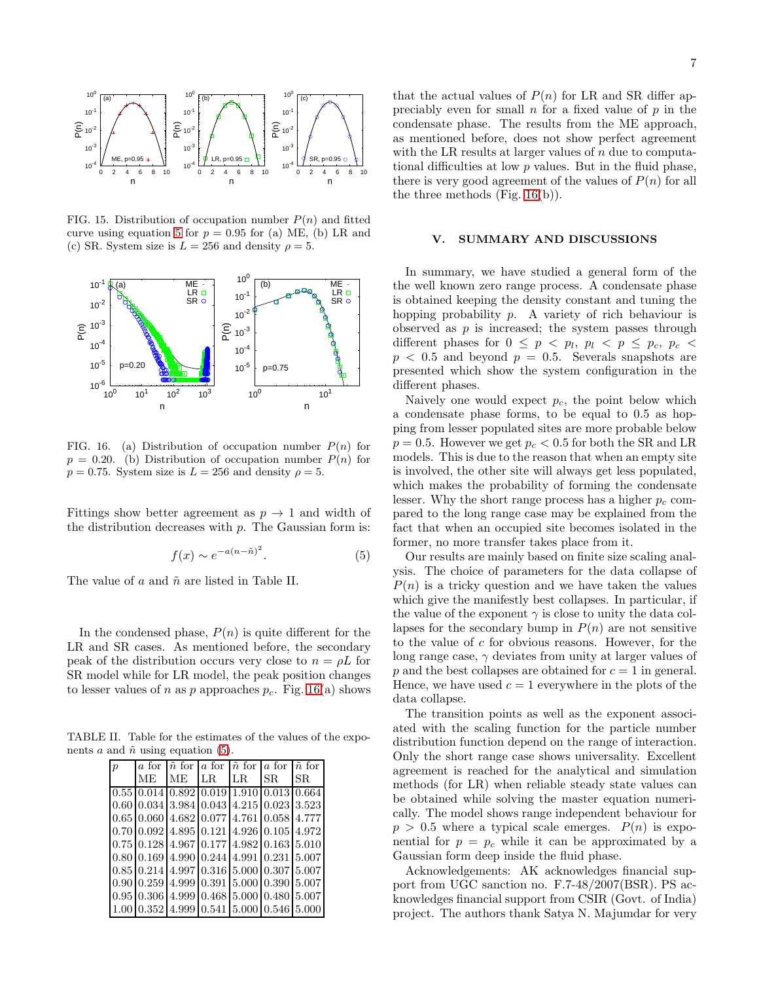

<span id="page-6-1"></span>FIG. 15. Distribution of occupation number  $P(n)$  and fitted curve using equation [5](#page-6-2) for  $p = 0.95$  for (a) ME, (b) LR and (c) SR. System size is  $L = 256$  and density  $\rho = 5$ .



<span id="page-6-3"></span>FIG. 16. (a) Distribution of occupation number  $P(n)$  for  $p = 0.20$ . (b) Distribution of occupation number  $P(n)$  for  $p = 0.75$ . System size is  $L = 256$  and density  $\rho = 5$ .

Fittings show better agreement as  $p \to 1$  and width of the distribution decreases with  $p$ . The Gaussian form is:

<span id="page-6-2"></span>
$$
f(x) \sim e^{-a(n-\tilde{n})^2}.
$$
 (5)

The value of  $a$  and  $\tilde{n}$  are listed in Table II.

In the condensed phase,  $P(n)$  is quite different for the LR and SR cases. As mentioned before, the secondary peak of the distribution occurs very close to  $n = \rho L$  for SR model while for LR model, the peak position changes to lesser values of n as p approaches  $p_c$ . Fig. [16\(](#page-6-3)a) shows

TABLE II. Table for the estimates of the values of the exponents a and  $\tilde{n}$  using equation [\(5\)](#page-6-2).

| p |                |  | a for $\bar{n}$ for a for $\bar{n}$ for a for $\bar{n}$ for                                                 |     |
|---|----------------|--|-------------------------------------------------------------------------------------------------------------|-----|
|   | ME ME LR LR SR |  |                                                                                                             | SR. |
|   |                |  | $\left[0.55\right]0.014\overline{ \left[0.892\right] 0.019}$ $\left[1.910\right]0.013$ $\left[0.664\right]$ |     |
|   |                |  | $\vert 0.60 \vert 0.034 \vert 3.984 \vert 0.043 \vert 4.215 \vert 0.023 \vert 3.523$                        |     |
|   |                |  | $\vert 0.65 \vert 0.060 \vert 4.682 \vert 0.077 \vert 4.761 \vert 0.058 \vert 4.777$                        |     |
|   |                |  | $0.70$ $0.092$ $4.895$ $0.121$ $4.926$ $0.105$ $4.972$                                                      |     |
|   |                |  | $\vert 0.75 \vert 0.128 \vert 4.967 \vert 0.177 \vert 4.982 \vert 0.163 \vert 5.010$                        |     |
|   |                |  | $0.80 \, 0.169 \, 4.990 \, 0.244 \, 4.991 \, 0.231 \, 5.007$                                                |     |
|   |                |  | $0.85 \, 0.214 \, 4.997 \, 0.316 \, 5.000 \, 0.307 \, 5.007$                                                |     |
|   |                |  | $0.9010.25914.99910.39115.00010.39015.007$                                                                  |     |
|   |                |  | $0.95 \, 0.306 \, 4.999 \, 0.468 \, 5.000 \, 0.480 \, 5.007$                                                |     |
|   |                |  | $(1.00 \, 0.352 \, 4.999 \, 0.541 \, 5.000 \, 0.546 \, 5.000$                                               |     |

that the actual values of  $P(n)$  for LR and SR differ appreciably even for small  $n$  for a fixed value of  $p$  in the condensate phase. The results from the ME approach, as mentioned before, does not show perfect agreement with the LR results at larger values of n due to computational difficulties at low p values. But in the fluid phase, there is very good agreement of the values of  $P(n)$  for all the three methods (Fig. [16\(](#page-6-3)b)).

# <span id="page-6-0"></span>V. SUMMARY AND DISCUSSIONS

In summary, we have studied a general form of the the well known zero range process. A condensate phase is obtained keeping the density constant and tuning the hopping probability p. A variety of rich behaviour is observed as  $p$  is increased; the system passes through different phases for  $0 \leq p \leq p_l$ ,  $p_l \leq p \leq p_c$ ,  $p_c \leq$  $p < 0.5$  and beyond  $p = 0.5$ . Severals snapshots are presented which show the system configuration in the different phases.

Naively one would expect  $p_c$ , the point below which a condensate phase forms, to be equal to 0.5 as hopping from lesser populated sites are more probable below  $p = 0.5$ . However we get  $p_c < 0.5$  for both the SR and LR models. This is due to the reason that when an empty site is involved, the other site will always get less populated, which makes the probability of forming the condensate lesser. Why the short range process has a higher  $p_c$  compared to the long range case may be explained from the fact that when an occupied site becomes isolated in the former, no more transfer takes place from it.

Our results are mainly based on finite size scaling analysis. The choice of parameters for the data collapse of  $P(n)$  is a tricky question and we have taken the values which give the manifestly best collapses. In particular, if the value of the exponent  $\gamma$  is close to unity the data collapses for the secondary bump in  $P(n)$  are not sensitive to the value of c for obvious reasons. However, for the long range case,  $\gamma$  deviates from unity at larger values of p and the best collapses are obtained for  $c = 1$  in general. Hence, we have used  $c = 1$  everywhere in the plots of the data collapse.

The transition points as well as the exponent associated with the scaling function for the particle number distribution function depend on the range of interaction. Only the short range case shows universality. Excellent agreement is reached for the analytical and simulation methods (for LR) when reliable steady state values can be obtained while solving the master equation numerically. The model shows range independent behaviour for  $p > 0.5$  where a typical scale emerges.  $P(n)$  is exponential for  $p = p_c$  while it can be approximated by a Gaussian form deep inside the fluid phase.

Acknowledgements: AK acknowledges financial support from UGC sanction no. F.7-48/2007(BSR). PS acknowledges financial support from CSIR (Govt. of India) project. The authors thank Satya N. Majumdar for very